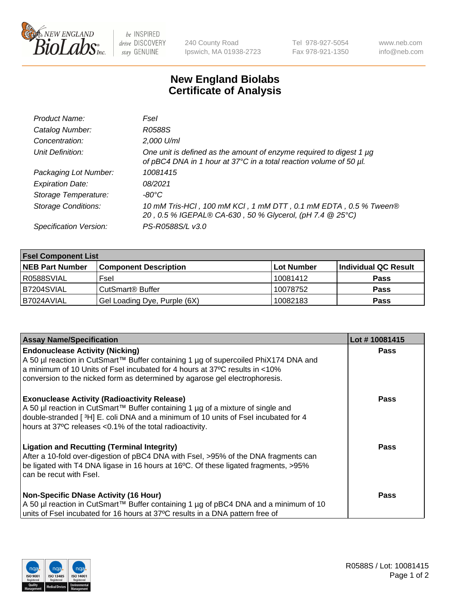

 $be$  INSPIRED drive DISCOVERY stay GENUINE

240 County Road Ipswich, MA 01938-2723 Tel 978-927-5054 Fax 978-921-1350 www.neb.com info@neb.com

## **New England Biolabs Certificate of Analysis**

| Product Name:              | Fsel                                                                                                                                      |
|----------------------------|-------------------------------------------------------------------------------------------------------------------------------------------|
| Catalog Number:            | R0588S                                                                                                                                    |
| Concentration:             | 2,000 U/ml                                                                                                                                |
| Unit Definition:           | One unit is defined as the amount of enzyme required to digest 1 µg<br>of pBC4 DNA in 1 hour at 37°C in a total reaction volume of 50 µl. |
| Packaging Lot Number:      | 10081415                                                                                                                                  |
| <b>Expiration Date:</b>    | 08/2021                                                                                                                                   |
| Storage Temperature:       | $-80^{\circ}$ C                                                                                                                           |
| <b>Storage Conditions:</b> | 10 mM Tris-HCl, 100 mM KCl, 1 mM DTT, 0.1 mM EDTA, 0.5 % Tween®<br>20, 0.5 % IGEPAL® CA-630, 50 % Glycerol, (pH 7.4 @ 25°C)               |
| Specification Version:     | PS-R0588S/L v3.0                                                                                                                          |

| <b>Fsel Component List</b> |                              |             |                      |  |  |
|----------------------------|------------------------------|-------------|----------------------|--|--|
| <b>NEB Part Number</b>     | <b>Component Description</b> | ∣Lot Number | Individual QC Result |  |  |
| R0588SVIAL                 | Fsel                         | 10081412    | <b>Pass</b>          |  |  |
| IB7204SVIAL                | CutSmart® Buffer             | 10078752    | <b>Pass</b>          |  |  |
| IB7024AVIAL                | Gel Loading Dye, Purple (6X) | 10082183    | <b>Pass</b>          |  |  |

| <b>Assay Name/Specification</b>                                                                                                                                            | Lot #10081415 |
|----------------------------------------------------------------------------------------------------------------------------------------------------------------------------|---------------|
| <b>Endonuclease Activity (Nicking)</b><br>A 50 µl reaction in CutSmart™ Buffer containing 1 µg of supercoiled PhiX174 DNA and                                              | <b>Pass</b>   |
| a minimum of 10 Units of Fsel incubated for 4 hours at 37°C results in <10%                                                                                                |               |
| conversion to the nicked form as determined by agarose gel electrophoresis.                                                                                                |               |
| <b>Exonuclease Activity (Radioactivity Release)</b>                                                                                                                        | <b>Pass</b>   |
| A 50 µl reaction in CutSmart™ Buffer containing 1 µg of a mixture of single and<br>double-stranded [3H] E. coli DNA and a minimum of 10 units of Fsel incubated for 4      |               |
| hours at 37°C releases <0.1% of the total radioactivity.                                                                                                                   |               |
| <b>Ligation and Recutting (Terminal Integrity)</b>                                                                                                                         | Pass          |
| After a 10-fold over-digestion of pBC4 DNA with Fsel, >95% of the DNA fragments can<br>be ligated with T4 DNA ligase in 16 hours at 16°C. Of these ligated fragments, >95% |               |
| can be recut with Fsel.                                                                                                                                                    |               |
|                                                                                                                                                                            |               |
| <b>Non-Specific DNase Activity (16 Hour)</b>                                                                                                                               | <b>Pass</b>   |
| A 50 µl reaction in CutSmart™ Buffer containing 1 µg of pBC4 DNA and a minimum of 10<br>units of Fsel incubated for 16 hours at 37°C results in a DNA pattern free of      |               |
|                                                                                                                                                                            |               |